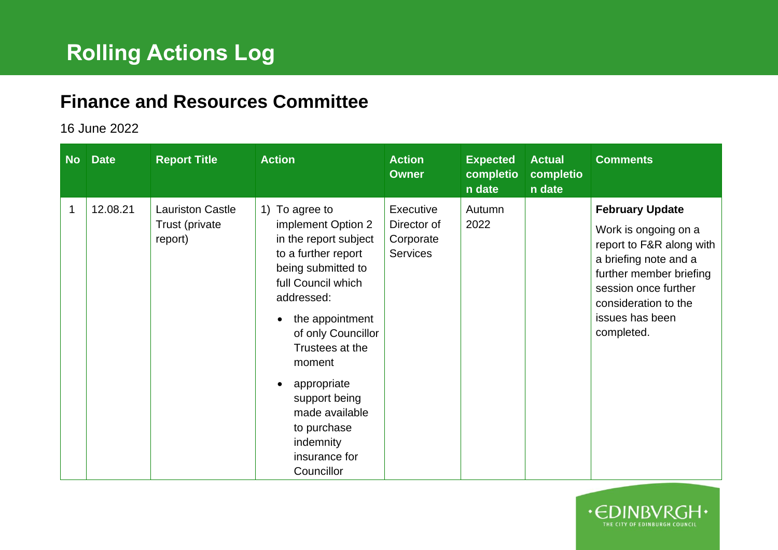## **Finance and Resources Committee**

## 16 June 2022

| No | <b>Date</b> | <b>Report Title</b>                                  | <b>Action</b>                                                                                                                                                                                                                                                                                                                          | <b>Action</b><br><b>Owner</b>                            | <b>Expected</b><br>completio<br>n date | <b>Actual</b><br>completio<br>n date | <b>Comments</b>                                                                                                                                                                                                 |
|----|-------------|------------------------------------------------------|----------------------------------------------------------------------------------------------------------------------------------------------------------------------------------------------------------------------------------------------------------------------------------------------------------------------------------------|----------------------------------------------------------|----------------------------------------|--------------------------------------|-----------------------------------------------------------------------------------------------------------------------------------------------------------------------------------------------------------------|
| 1  | 12.08.21    | <b>Lauriston Castle</b><br>Trust (private<br>report) | 1) To agree to<br>implement Option 2<br>in the report subject<br>to a further report<br>being submitted to<br>full Council which<br>addressed:<br>the appointment<br>of only Councillor<br>Trustees at the<br>moment<br>appropriate<br>٠<br>support being<br>made available<br>to purchase<br>indemnity<br>insurance for<br>Councillor | Executive<br>Director of<br>Corporate<br><b>Services</b> | Autumn<br>2022                         |                                      | <b>February Update</b><br>Work is ongoing on a<br>report to F&R along with<br>a briefing note and a<br>further member briefing<br>session once further<br>consideration to the<br>issues has been<br>completed. |

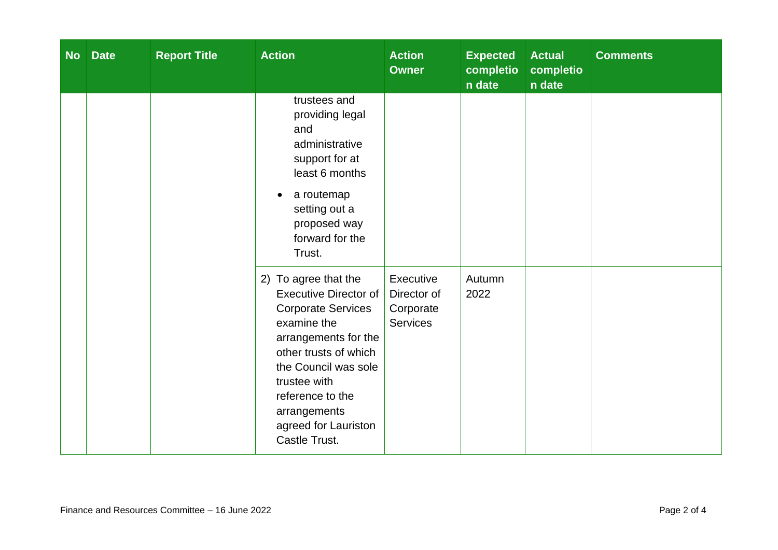| <b>No</b> | <b>Date</b> | <b>Report Title</b> | <b>Action</b>                                                                                                                                                                                                                                                          | <b>Action</b><br><b>Owner</b>                            | <b>Expected</b><br>completio<br>n date | <b>Actual</b><br>completio<br>n date | <b>Comments</b> |
|-----------|-------------|---------------------|------------------------------------------------------------------------------------------------------------------------------------------------------------------------------------------------------------------------------------------------------------------------|----------------------------------------------------------|----------------------------------------|--------------------------------------|-----------------|
|           |             |                     | trustees and<br>providing legal<br>and<br>administrative<br>support for at<br>least 6 months<br>a routemap<br>$\bullet$<br>setting out a<br>proposed way<br>forward for the<br>Trust.                                                                                  |                                                          |                                        |                                      |                 |
|           |             |                     | 2) To agree that the<br><b>Executive Director of</b><br><b>Corporate Services</b><br>examine the<br>arrangements for the<br>other trusts of which<br>the Council was sole<br>trustee with<br>reference to the<br>arrangements<br>agreed for Lauriston<br>Castle Trust. | Executive<br>Director of<br>Corporate<br><b>Services</b> | Autumn<br>2022                         |                                      |                 |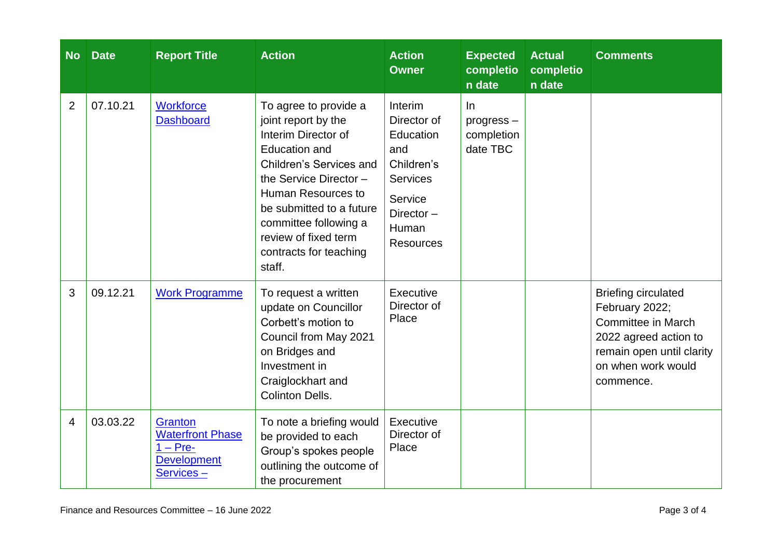| <b>No</b>      | <b>Date</b> | <b>Report Title</b>                                                                 | <b>Action</b>                                                                                                                                                                                                                                                                           | <b>Action</b><br><b>Owner</b>                                                                                                    | <b>Expected</b><br>completio<br>n date       | <b>Actual</b><br>completio<br>n date | <b>Comments</b>                                                                                                                                                    |
|----------------|-------------|-------------------------------------------------------------------------------------|-----------------------------------------------------------------------------------------------------------------------------------------------------------------------------------------------------------------------------------------------------------------------------------------|----------------------------------------------------------------------------------------------------------------------------------|----------------------------------------------|--------------------------------------|--------------------------------------------------------------------------------------------------------------------------------------------------------------------|
| $\overline{2}$ | 07.10.21    | <b>Workforce</b><br><b>Dashboard</b>                                                | To agree to provide a<br>joint report by the<br>Interim Director of<br><b>Education and</b><br>Children's Services and<br>the Service Director -<br>Human Resources to<br>be submitted to a future<br>committee following a<br>review of fixed term<br>contracts for teaching<br>staff. | Interim<br>Director of<br>Education<br>and<br>Children's<br><b>Services</b><br>Service<br>Director-<br>Human<br><b>Resources</b> | $\ln$<br>progress-<br>completion<br>date TBC |                                      |                                                                                                                                                                    |
| 3              | 09.12.21    | <b>Work Programme</b>                                                               | To request a written<br>update on Councillor<br>Corbett's motion to<br>Council from May 2021<br>on Bridges and<br>Investment in<br>Craiglockhart and<br><b>Colinton Dells.</b>                                                                                                          | Executive<br>Director of<br>Place                                                                                                |                                              |                                      | <b>Briefing circulated</b><br>February 2022;<br><b>Committee in March</b><br>2022 agreed action to<br>remain open until clarity<br>on when work would<br>commence. |
| 4              | 03.03.22    | Granton<br><b>Waterfront Phase</b><br>$1 - Pre-$<br><b>Development</b><br>Services- | To note a briefing would<br>be provided to each<br>Group's spokes people<br>outlining the outcome of<br>the procurement                                                                                                                                                                 | Executive<br>Director of<br>Place                                                                                                |                                              |                                      |                                                                                                                                                                    |